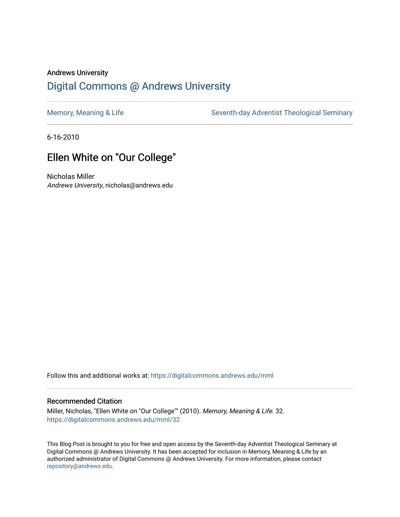# Andrews University [Digital Commons @ Andrews University](https://digitalcommons.andrews.edu/)

[Memory, Meaning & Life](https://digitalcommons.andrews.edu/mml) Seventh-day Adventist Theological Seminary

6-16-2010

# Ellen White on "Our College"

Nicholas Miller Andrews University, nicholas@andrews.edu

Follow this and additional works at: [https://digitalcommons.andrews.edu/mml](https://digitalcommons.andrews.edu/mml?utm_source=digitalcommons.andrews.edu%2Fmml%2F32&utm_medium=PDF&utm_campaign=PDFCoverPages) 

#### Recommended Citation

Miller, Nicholas, "Ellen White on "Our College"" (2010). Memory, Meaning & Life. 32. [https://digitalcommons.andrews.edu/mml/32](https://digitalcommons.andrews.edu/mml/32?utm_source=digitalcommons.andrews.edu%2Fmml%2F32&utm_medium=PDF&utm_campaign=PDFCoverPages)

This Blog Post is brought to you for free and open access by the Seventh-day Adventist Theological Seminary at Digital Commons @ Andrews University. It has been accepted for inclusion in Memory, Meaning & Life by an authorized administrator of Digital Commons @ Andrews University. For more information, please contact [repository@andrews.edu](mailto:repository@andrews.edu).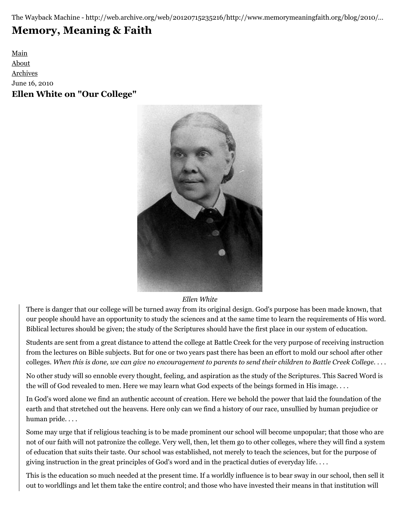The Wayback Machine - http://web.archive.org/web/20120715235216/http://www.memorymeaningfaith.org/blog/2010/…

# **[Memory, Meaning & Faith](http://web.archive.org/web/20120715235216/http://www.memorymeaningfaith.org/blog/)**

[Main](http://web.archive.org/web/20120715235216/http://www.memorymeaningfaith.org/blog) [About](http://web.archive.org/web/20120715235216/http://www.memorymeaningfaith.org/blog/about.html) [Archives](http://web.archive.org/web/20120715235216/http://www.memorymeaningfaith.org/blog/archives.html) June 16, 2010 **Ellen White on "Our College"**



#### *Ellen White*

There is danger that our college will be turned away from its original design. God's purpose has been made known, that our people should have an opportunity to study the sciences and at the same time to learn the requirements of His word. Biblical lectures should be given; the study of the Scriptures should have the first place in our system of education.

Students are sent from a great distance to attend the college at Battle Creek for the very purpose of receiving instruction from the lectures on Bible subjects. But for one or two years past there has been an effort to mold our school after other colleges. *When this is done, we can give no encouragement to parents to send their children to Battle Creek College*. . . .

No other study will so ennoble every thought, feeling, and aspiration as the study of the Scriptures. This Sacred Word is the will of God revealed to men. Here we may learn what God expects of the beings formed in His image. . . .

In God's word alone we find an authentic account of creation. Here we behold the power that laid the foundation of the earth and that stretched out the heavens. Here only can we find a history of our race, unsullied by human prejudice or human pride. . . .

Some may urge that if religious teaching is to be made prominent our school will become unpopular; that those who are not of our faith will not patronize the college. Very well, then, let them go to other colleges, where they will find a system of education that suits their taste. Our school was established, not merely to teach the sciences, but for the purpose of giving instruction in the great principles of God's word and in the practical duties of everyday life. . . .

This is the education so much needed at the present time. If a worldly influence is to bear sway in our school, then sell it out to worldlings and let them take the entire control; and those who have invested their means in that institution will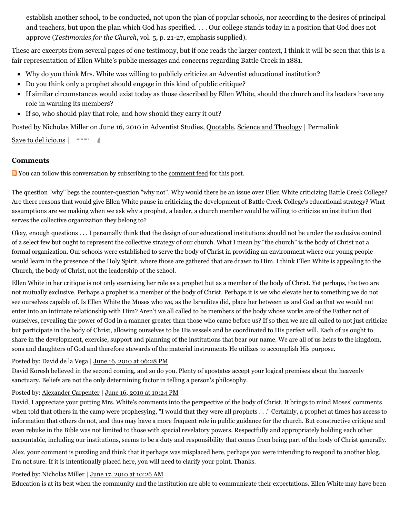establish another school, to be conducted, not upon the plan of popular schools, nor according to the desires of principal and teachers, but upon the plan which God has specified. . . . Our college stands today in a position that God does not approve (*Testimonies for the Church*, vol. 5, p. 21-27, emphasis supplied).

These are excerpts from several pages of one testimony, but if one reads the larger context, I think it will be seen that this is a fair representation of Ellen White's public messages and concerns regarding Battle Creek in 1881.

- Why do you think Mrs. White was willing to publicly criticize an Adventist educational institution?
- Do you think only a prophet should engage in this kind of public critique?
- If similar circumstances would exist today as those described by Ellen White, should the church and its leaders have any role in warning its members?
- If so, who should play that role, and how should they carry it out?

Posted by [Nicholas Miller](http://web.archive.org/web/20120715235216/http://profile.typepad.com/npmiller) on June 16, 2010 in [Adventist Studies,](http://web.archive.org/web/20120715235216/http://www.memorymeaningfaith.org/blog/adventist-studies/) [Quotable](http://web.archive.org/web/20120715235216/http://www.memorymeaningfaith.org/blog/sources/), [Science and Theology](http://web.archive.org/web/20120715235216/http://www.memorymeaningfaith.org/blog/science-and-theology/) | [Permalink](http://web.archive.org/web/20120715235216/http://www.memorymeaningfaith.org/blog/2010/06/ellen-white-our-college.html)

[Save to del.icio.us](http://web.archive.org/web/20120715235216/http://del.icio.us/post)  $\vert$ 

# **Comments**

**Not** You can follow this conversation by subscribing to the <u>comment feed</u> for this post.

The question "why" begs the counter-question "why not". Why would there be an issue over Ellen White criticizing Battle Creek College? Are there reasons that would give Ellen White pause in criticizing the development of Battle Creek College's educational strategy? What assumptions are we making when we ask why a prophet, a leader, a church member would be willing to criticize an institution that serves the collective organization they belong to?

Okay, enough questions . . . I personally think that the design of our educational institutions should not be under the exclusive control of a select few but ought to represent the collective strategy of our church. What I mean by "the church" is the body of Christ not a formal organization. Our schools were established to serve the body of Christ in providing an environment where our young people would learn in the presence of the Holy Spirit, where those are gathered that are drawn to Him. I think Ellen White is appealing to the Church, the body of Christ, not the leadership of the school.

Ellen White in her critique is not only exercising her role as a prophet but as a member of the body of Christ. Yet perhaps, the two are not mutually exclusive. Perhaps a prophet is a member of the body of Christ. Perhaps it is we who elevate her to something we do not see ourselves capable of. Is Ellen White the Moses who we, as the Israelites did, place her between us and God so that we would not enter into an intimate relationship with Him? Aren't we all called to be members of the body whose works are of the Father not of ourselves, revealing the power of God in a manner greater than those who came before us? If so then we are all called to not just criticize but participate in the body of Christ, allowing ourselves to be His vessels and be coordinated to His perfect will. Each of us ought to share in the development, exercise, support and planning of the institutions that bear our name. We are all of us heirs to the kingdom, sons and daughters of God and therefore stewards of the material instruments He utilizes to accomplish His purpose.

#### Posted by: David de la Vega | [June 16, 2010 at 06:28 PM](http://web.archive.org/web/20120715235216/http://www.memorymeaningfaith.org/blog/2010/06/ellen-white-our-college.html?cid=6a01287656f488970c01348481d906970c#comment-6a01287656f488970c01348481d906970c)

David Koresh believed in the second coming, and so do you. Plenty of apostates accept your logical premises about the heavenly sanctuary. Beliefs are not the only determining factor in telling a person's philosophy.

# Posted by: [Alexander Carpenter](http://web.archive.org/web/20120715235216/http://tinypic.com/view.php?pic=mb5yxy&s=6) | [June 16, 2010 at 10:24 PM](http://web.archive.org/web/20120715235216/http://www.memorymeaningfaith.org/blog/2010/06/ellen-white-our-college.html?cid=6a01287656f488970c0133f15bedd3970b#comment-6a01287656f488970c0133f15bedd3970b)

David, I appreciate your putting Mrs. White's comments into the perspective of the body of Christ. It brings to mind Moses' comments when told that others in the camp were prophesying, "I would that they were all prophets . . ." Certainly, a prophet at times has access to information that others do not, and thus may have a more frequent role in public guidance for the church. But constructive critique and even rebuke in the Bible was not limited to those with special revelatory powers. Respectfully and appropriately holding each other accountable, including our institutions, seems to be a duty and responsibility that comes from being part of the body of Christ generally.

Alex, your comment is puzzling and think that it perhaps was misplaced here, perhaps you were intending to respond to another blog, I'm not sure. If it is intentionally placed here, you will need to clarify your point. Thanks.

# Posted by: Nicholas Miller | [June 17, 2010 at 10:26 AM](http://web.archive.org/web/20120715235216/http://www.memorymeaningfaith.org/blog/2010/06/ellen-white-our-college.html?cid=6a01287656f488970c0133f15f12bb970b#comment-6a01287656f488970c0133f15f12bb970b)

Education is at its best when the community and the institution are able to communicate their expectations. Ellen White may have been